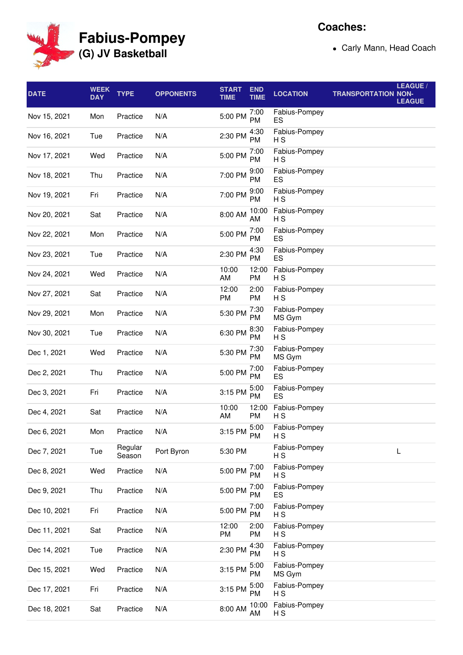

**Coaches:**

Carly Mann, Head Coach

| <b>DATE</b>  | <b>WEEK</b><br><b>DAY</b> | <b>TYPE</b>       | <b>OPPONENTS</b> | <b>START</b><br><b>TIME</b> | <b>END</b><br><b>TIME</b> | <b>LOCATION</b>         | <b>TRANSPORTATION NON-</b> | LEAGUE /<br><b>LEAGUE</b> |
|--------------|---------------------------|-------------------|------------------|-----------------------------|---------------------------|-------------------------|----------------------------|---------------------------|
| Nov 15, 2021 | Mon                       | Practice          | N/A              | 5:00 PM                     | 7:00<br>PM                | Fabius-Pompey<br>ES     |                            |                           |
| Nov 16, 2021 | Tue                       | Practice          | N/A              | 2:30 PM                     | 4:30<br><b>PM</b>         | Fabius-Pompey<br>НS     |                            |                           |
| Nov 17, 2021 | Wed                       | Practice          | N/A              | 5:00 PM                     | 7:00<br><b>PM</b>         | Fabius-Pompey<br>H S    |                            |                           |
| Nov 18, 2021 | Thu                       | Practice          | N/A              | 7:00 PM                     | 9:00<br><b>PM</b>         | Fabius-Pompey<br>ES     |                            |                           |
| Nov 19, 2021 | Fri                       | Practice          | N/A              | 7:00 PM                     | 9:00<br><b>PM</b>         | Fabius-Pompey<br>НS     |                            |                           |
| Nov 20, 2021 | Sat                       | Practice          | N/A              | 8:00 AM                     | 10:00<br>AM               | Fabius-Pompey<br>НS     |                            |                           |
| Nov 22, 2021 | Mon                       | Practice          | N/A              | 5:00 PM                     | 7:00<br><b>PM</b>         | Fabius-Pompey<br>ES     |                            |                           |
| Nov 23, 2021 | Tue                       | Practice          | N/A              | 2:30 PM                     | 4:30<br><b>PM</b>         | Fabius-Pompey<br>ES     |                            |                           |
| Nov 24, 2021 | Wed                       | Practice          | N/A              | 10:00<br>AM                 | 12:00<br><b>PM</b>        | Fabius-Pompey<br>НS     |                            |                           |
| Nov 27, 2021 | Sat                       | Practice          | N/A              | 12:00<br><b>PM</b>          | 2:00<br><b>PM</b>         | Fabius-Pompey<br>НS     |                            |                           |
| Nov 29, 2021 | Mon                       | Practice          | N/A              | 5:30 PM                     | 7:30<br><b>PM</b>         | Fabius-Pompey<br>MS Gym |                            |                           |
| Nov 30, 2021 | Tue                       | Practice          | N/A              | 6:30 PM                     | 8:30<br><b>PM</b>         | Fabius-Pompey<br>H S    |                            |                           |
| Dec 1, 2021  | Wed                       | Practice          | N/A              | 5:30 PM                     | 7:30<br><b>PM</b>         | Fabius-Pompey<br>MS Gym |                            |                           |
| Dec 2, 2021  | Thu                       | Practice          | N/A              | 5:00 PM                     | 7:00<br><b>PM</b>         | Fabius-Pompey<br>ES     |                            |                           |
| Dec 3, 2021  | Fri                       | Practice          | N/A              | 3:15 PM                     | 5:00<br><b>PM</b>         | Fabius-Pompey<br>ES     |                            |                           |
| Dec 4, 2021  | Sat                       | Practice          | N/A              | 10:00<br>AM                 | 12:00<br><b>PM</b>        | Fabius-Pompey<br>H S    |                            |                           |
| Dec 6, 2021  | Mon                       | Practice          | N/A              | 3:15 PM                     | 5:00<br>${\sf PM}$        | Fabius-Pompey<br>НS     |                            |                           |
| Dec 7, 2021  | Tue                       | Regular<br>Season | Port Byron       | 5:30 PM                     |                           | Fabius-Pompey<br>H S    |                            | L                         |
| Dec 8, 2021  | Wed                       | Practice          | N/A              | 5:00 PM                     | 7:00<br><b>PM</b>         | Fabius-Pompey<br>НS     |                            |                           |
| Dec 9, 2021  | Thu                       | Practice          | N/A              | 5:00 PM                     | 7:00<br><b>PM</b>         | Fabius-Pompey<br>ES     |                            |                           |
| Dec 10, 2021 | Fri                       | Practice          | N/A              | 5:00 PM                     | 7:00<br><b>PM</b>         | Fabius-Pompey<br>НS     |                            |                           |
| Dec 11, 2021 | Sat                       | Practice          | N/A              | 12:00<br>PM                 | 2:00<br><b>PM</b>         | Fabius-Pompey<br>НS     |                            |                           |
| Dec 14, 2021 | Tue                       | Practice          | N/A              | 2:30 PM                     | 4:30<br><b>PM</b>         | Fabius-Pompey<br>НS     |                            |                           |
| Dec 15, 2021 | Wed                       | Practice          | N/A              | 3:15 PM                     | 5:00<br><b>PM</b>         | Fabius-Pompey<br>MS Gym |                            |                           |
| Dec 17, 2021 | Fri                       | Practice          | N/A              | 3:15 PM                     | 5:00<br><b>PM</b>         | Fabius-Pompey<br>H S    |                            |                           |
| Dec 18, 2021 | Sat                       | Practice          | N/A              | 8:00 AM                     | 10:00<br>AM               | Fabius-Pompey<br>H S    |                            |                           |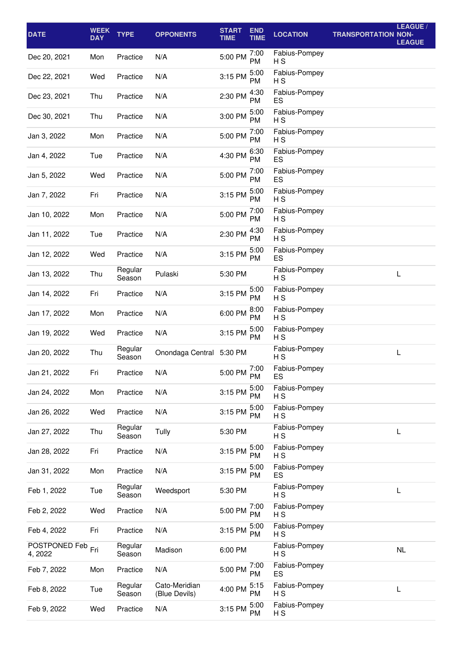| <b>DATE</b>              | <b>WEEK</b><br><b>DAY</b> | <b>TYPE</b>       | <b>OPPONENTS</b>               | <b>START</b><br><b>TIME</b> | <b>END</b><br><b>TIME</b> | <b>LOCATION</b>                 | <b>TRANSPORTATION NON-</b> | LEAGUE /<br><b>LEAGUE</b> |
|--------------------------|---------------------------|-------------------|--------------------------------|-----------------------------|---------------------------|---------------------------------|----------------------------|---------------------------|
| Dec 20, 2021             | Mon                       | Practice          | N/A                            | 5:00 PM                     | 7:00<br><b>PM</b>         | Fabius-Pompey<br>H S            |                            |                           |
| Dec 22, 2021             | Wed                       | Practice          | N/A                            | 3:15 PM                     | 5:00<br>PM                | Fabius-Pompey<br>H <sub>S</sub> |                            |                           |
| Dec 23, 2021             | Thu                       | Practice          | N/A                            | 2:30 PM                     | 4:30<br><b>PM</b>         | Fabius-Pompey<br>ES             |                            |                           |
| Dec 30, 2021             | Thu                       | Practice          | N/A                            | 3:00 PM                     | 5:00<br>PM                | Fabius-Pompey<br>НS             |                            |                           |
| Jan 3, 2022              | Mon                       | Practice          | N/A                            | 5:00 PM                     | 7:00<br>PM                | Fabius-Pompey<br>H S            |                            |                           |
| Jan 4, 2022              | Tue                       | Practice          | N/A                            | 4:30 PM                     | 6:30<br><b>PM</b>         | Fabius-Pompey<br>ES             |                            |                           |
| Jan 5, 2022              | Wed                       | Practice          | N/A                            | 5:00 PM                     | 7:00<br>PM                | Fabius-Pompey<br>ES             |                            |                           |
| Jan 7, 2022              | Fri                       | Practice          | N/A                            | 3:15 PM                     | 5:00<br><b>PM</b>         | Fabius-Pompey<br>H S            |                            |                           |
| Jan 10, 2022             | Mon                       | Practice          | N/A                            | 5:00 PM                     | 7:00<br><b>PM</b>         | Fabius-Pompey<br>H <sub>S</sub> |                            |                           |
| Jan 11, 2022             | Tue                       | Practice          | N/A                            | 2:30 PM                     | 4:30<br><b>PM</b>         | Fabius-Pompey<br>H <sub>S</sub> |                            |                           |
| Jan 12, 2022             | Wed                       | Practice          | N/A                            | 3:15 PM                     | 5:00<br><b>PM</b>         | Fabius-Pompey<br>ES             |                            |                           |
| Jan 13, 2022             | Thu                       | Regular<br>Season | Pulaski                        | 5:30 PM                     |                           | Fabius-Pompey<br>H <sub>S</sub> |                            | L                         |
| Jan 14, 2022             | Fri                       | Practice          | N/A                            | 3:15 PM                     | 5:00<br>PM.               | Fabius-Pompey<br>H S            |                            |                           |
| Jan 17, 2022             | Mon                       | Practice          | N/A                            | 6:00 PM                     | 8:00<br><b>PM</b>         | Fabius-Pompey<br>H S            |                            |                           |
| Jan 19, 2022             | Wed                       | Practice          | N/A                            | 3:15 PM                     | 5:00<br><b>PM</b>         | Fabius-Pompey<br>НS             |                            |                           |
| Jan 20, 2022             | Thu                       | Regular<br>Season | Onondaga Central 5:30 PM       |                             |                           | Fabius-Pompey<br>H S            |                            | L                         |
| Jan 21, 2022             | Fri                       | Practice          | N/A                            | 5:00 PM $\frac{7:00}{n}$    | <b>PM</b>                 | Fabius-Pompey<br>ES             |                            |                           |
| Jan 24, 2022             | Mon                       | Practice          | N/A                            | 3:15 PM                     | 5:00<br>PM                | Fabius-Pompey<br>НS             |                            |                           |
| Jan 26, 2022             | Wed                       | Practice          | N/A                            | 3:15 PM                     | 5:00<br><b>PM</b>         | Fabius-Pompey<br>НS             |                            |                           |
| Jan 27, 2022             | Thu                       | Regular<br>Season | Tully                          | 5:30 PM                     |                           | Fabius-Pompey<br>НS             |                            | L                         |
| Jan 28, 2022             | Fri                       | Practice          | N/A                            | 3:15 PM                     | 5:00<br><b>PM</b>         | Fabius-Pompey<br>H <sub>S</sub> |                            |                           |
| Jan 31, 2022             | Mon                       | Practice          | N/A                            | 3:15 PM                     | 5:00<br><b>PM</b>         | Fabius-Pompey<br>ES             |                            |                           |
| Feb 1, 2022              | Tue                       | Regular<br>Season | Weedsport                      | 5:30 PM                     |                           | Fabius-Pompey<br>H <sub>S</sub> |                            | L                         |
| Feb 2, 2022              | Wed                       | Practice          | N/A                            | 5:00 PM                     | 7:00<br><b>PM</b>         | Fabius-Pompey<br>H <sub>S</sub> |                            |                           |
| Feb 4, 2022              | Fri                       | Practice          | N/A                            | 3:15 PM                     | 5:00<br><b>PM</b>         | Fabius-Pompey<br>H <sub>S</sub> |                            |                           |
| POSTPONED Feb<br>4, 2022 | Fri                       | Regular<br>Season | Madison                        | 6:00 PM                     |                           | Fabius-Pompey<br>H <sub>S</sub> |                            | NL                        |
| Feb 7, 2022              | Mon                       | Practice          | N/A                            | 5:00 PM                     | 7:00<br>PM                | Fabius-Pompey<br>ES             |                            |                           |
| Feb 8, 2022              | Tue                       | Regular<br>Season | Cato-Meridian<br>(Blue Devils) | 4:00 PM                     | 5:15<br><b>PM</b>         | Fabius-Pompey<br>H S            |                            | L                         |
| Feb 9, 2022              | Wed                       | Practice          | N/A                            | 3:15 PM                     | 5:00<br>PM                | Fabius-Pompey<br>H S            |                            |                           |